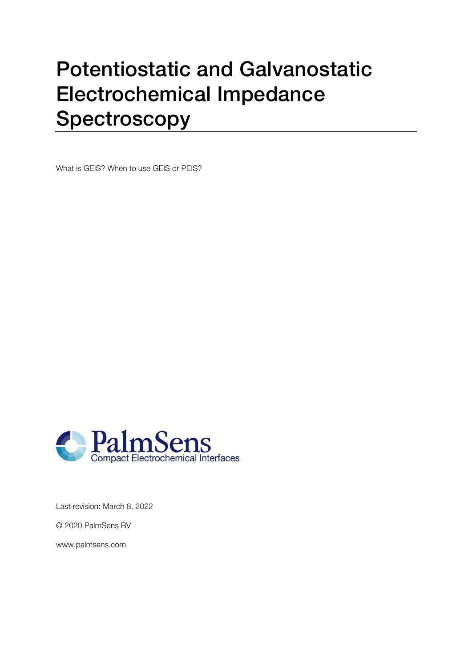# Potentiostatic and Galvanostatic Electrochemical Impedance Spectroscopy

What is GEIS? When to use GEIS or PEIS?



Last revision: March 8, 2022

© 2020 PalmSens BV

www.palmsens.com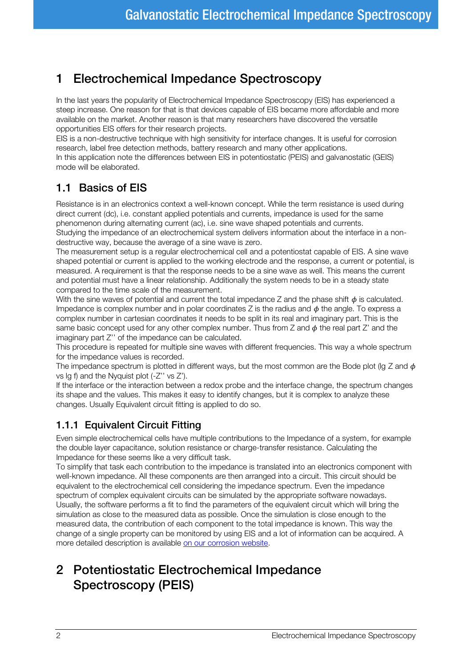## 1 Electrochemical Impedance Spectroscopy

In the last years the popularity of Electrochemical Impedance Spectroscopy (EIS) has experienced a steep increase. One reason for that is that devices capable of EIS became more affordable and more available on the market. Another reason is that many researchers have discovered the versatile opportunities EIS offers for their research projects.

EIS is a non-destructive technique with high sensitivity for interface changes. It is useful for corrosion research, label free detection methods, battery research and many other applications.

In this application note the differences between EIS in potentiostatic (PEIS) and galvanostatic (GEIS) mode will be elaborated.

#### 1.1 Basics of EIS

Resistance is in an electronics context a well-known concept. While the term resistance is used during direct current (dc), i.e. constant applied potentials and currents, impedance is used for the same phenomenon during alternating current (ac), i.e. sine wave shaped potentials and currents. Studying the impedance of an electrochemical system delivers information about the interface in a nondestructive way, because the average of a sine wave is zero.

The measurement setup is a regular electrochemical cell and a potentiostat capable of EIS. A sine wave shaped potential or current is applied to the working electrode and the response, a current or potential, is measured. A requirement is that the response needs to be a sine wave as well. This means the current and potential must have a linear relationship. Additionally the system needs to be in a steady state compared to the time scale of the measurement.

With the sine waves of potential and current the total impedance Z and the phase shift  $\phi$  is calculated. Impedance is complex number and in polar coordinates  $Z$  is the radius and  $\phi$  the angle. To express a complex number in cartesian coordinates it needs to be split in its real and imaginary part. This is the same basic concept used for any other complex number. Thus from  $Z$  and  $\phi$  the real part  $Z'$  and the imaginary part Z'' of the impedance can be calculated.

This procedure is repeated for multiple sine waves with different frequencies. This way a whole spectrum for the impedance values is recorded.

The impedance spectrum is plotted in different ways, but the most common are the Bode plot (lg Z and  $\phi$ ) vs lg f) and the Nyquist plot (-Z'' vs Z').

If the interface or the interaction between a redox probe and the interface change, the spectrum changes its shape and the values. This makes it easy to identify changes, but it is complex to analyze these changes. Usually Equivalent circuit fitting is applied to do so.

#### 1.1.1 Equivalent Circuit Fitting

Even simple electrochemical cells have multiple contributions to the Impedance of a system, for example the double layer capacitance, solution resistance or charge-transfer resistance. Calculating the Impedance for these seems like a very difficult task.

To simplify that task each contribution to the impedance is translated into an electronics component with well-known impedance. All these components are then arranged into a circuit. This circuit should be equivalent to the electrochemical cell considering the impedance spectrum. Even the impedance spectrum of complex equivalent circuits can be simulated by the appropriate software nowadays. Usually, the software performs a fit to find the parameters of the equivalent circuit which will bring the simulation as close to the measured data as possible. Once the simulation is close enough to the measured data, the contribution of each component to the total impedance is known. This way the change of a single property can be monitored by using EIS and a lot of information can be acquired. A more detailed description is available [on our corrosion website.](https://www.palmsenscorrosion.com/knowledgebase/bode-and-nyquist-plot/)

# 2 Potentiostatic Electrochemical Impedance Spectroscopy (PEIS)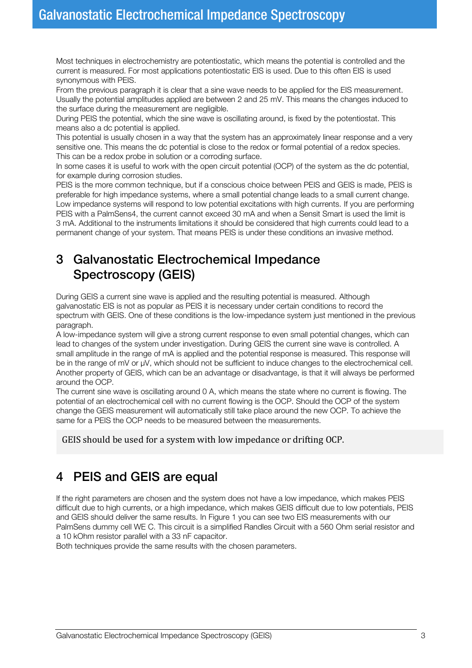Most techniques in electrochemistry are potentiostatic, which means the potential is controlled and the current is measured. For most applications potentiostatic EIS is used. Due to this often EIS is used synonymous with PEIS.

From the previous paragraph it is clear that a sine wave needs to be applied for the EIS measurement. Usually the potential amplitudes applied are between 2 and 25 mV. This means the changes induced to the surface during the measurement are negligible.

During PEIS the potential, which the sine wave is oscillating around, is fixed by the potentiostat. This means also a dc potential is applied.

This potential is usually chosen in a way that the system has an approximately linear response and a very sensitive one. This means the dc potential is close to the redox or formal potential of a redox species. This can be a redox probe in solution or a corroding surface.

In some cases it is useful to work with the open circuit potential (OCP) of the system as the dc potential, for example during corrosion studies.

PEIS is the more common technique, but if a conscious choice between PEIS and GEIS is made, PEIS is preferable for high impedance systems, where a small potential change leads to a small current change. Low impedance systems will respond to low potential excitations with high currents. If you are performing PEIS with a PalmSens4, the current cannot exceed 30 mA and when a Sensit Smart is used the limit is 3 mA. Additional to the instruments limitations it should be considered that high currents could lead to a permanent change of your system. That means PEIS is under these conditions an invasive method.

#### 3 Galvanostatic Electrochemical Impedance Spectroscopy (GEIS)

During GEIS a current sine wave is applied and the resulting potential is measured. Although galvanostatic EIS is not as popular as PEIS it is necessary under certain conditions to record the spectrum with GEIS. One of these conditions is the low-impedance system just mentioned in the previous paragraph.

A low-impedance system will give a strong current response to even small potential changes, which can lead to changes of the system under investigation. During GEIS the current sine wave is controlled. A small amplitude in the range of mA is applied and the potential response is measured. This response will be in the range of mV or  $\mu$ V, which should not be sufficient to induce changes to the electrochemical cell. Another property of GEIS, which can be an advantage or disadvantage, is that it will always be performed around the OCP.

The current sine wave is oscillating around 0 A, which means the state where no current is flowing. The potential of an electrochemical cell with no current flowing is the OCP. Should the OCP of the system change the GEIS measurement will automatically still take place around the new OCP. To achieve the same for a PEIS the OCP needs to be measured between the measurements.

GEIS should be used for a system with low impedance or drifting OCP.

## 4 PEIS and GEIS are equal

If the right parameters are chosen and the system does not have a low impedance, which makes PEIS difficult due to high currents, or a high impedance, which makes GEIS difficult due to low potentials, PEIS and GEIS should deliver the same results. In [Figure 1](#page-3-0) you can see two EIS measurements with our PalmSens dummy cell WE C. This circuit is a simplified Randles Circuit with a 560 Ohm serial resistor and a 10 kOhm resistor parallel with a 33 nF capacitor.

Both techniques provide the same results with the chosen parameters.